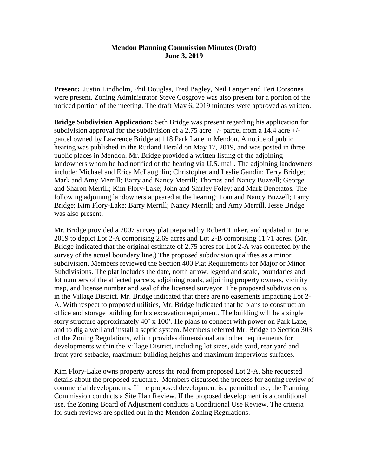## **Mendon Planning Commission Minutes (Draft) June 3, 2019**

**Present:** Justin Lindholm, Phil Douglas, Fred Bagley, Neil Langer and Teri Corsones were present. Zoning Administrator Steve Cosgrove was also present for a portion of the noticed portion of the meeting. The draft May 6, 2019 minutes were approved as written.

**Bridge Subdivision Application:** Seth Bridge was present regarding his application for subdivision approval for the subdivision of a 2.75 acre  $+/-$  parcel from a 14.4 acre  $+/$ parcel owned by Lawrence Bridge at 118 Park Lane in Mendon. A notice of public hearing was published in the Rutland Herald on May 17, 2019, and was posted in three public places in Mendon. Mr. Bridge provided a written listing of the adjoining landowners whom he had notified of the hearing via U.S. mail. The adjoining landowners include: Michael and Erica McLaughlin; Christopher and Leslie Gandin; Terry Bridge; Mark and Amy Merrill; Barry and Nancy Merrill; Thomas and Nancy Buzzell; George and Sharon Merrill; Kim Flory-Lake; John and Shirley Foley; and Mark Benetatos. The following adjoining landowners appeared at the hearing: Tom and Nancy Buzzell; Larry Bridge; Kim Flory-Lake; Barry Merrill; Nancy Merrill; and Amy Merrill. Jesse Bridge was also present.

Mr. Bridge provided a 2007 survey plat prepared by Robert Tinker, and updated in June, 2019 to depict Lot 2-A comprising 2.69 acres and Lot 2-B comprising 11.71 acres. (Mr. Bridge indicated that the original estimate of 2.75 acres for Lot 2-A was corrected by the survey of the actual boundary line.) The proposed subdivision qualifies as a minor subdivision. Members reviewed the Section 400 Plat Requirements for Major or Minor Subdivisions. The plat includes the date, north arrow, legend and scale, boundaries and lot numbers of the affected parcels, adjoining roads, adjoining property owners, vicinity map, and license number and seal of the licensed surveyor. The proposed subdivision is in the Village District. Mr. Bridge indicated that there are no easements impacting Lot 2- A. With respect to proposed utilities, Mr. Bridge indicated that he plans to construct an office and storage building for his excavation equipment. The building will be a single story structure approximately 40' x 100'. He plans to connect with power on Park Lane, and to dig a well and install a septic system. Members referred Mr. Bridge to Section 303 of the Zoning Regulations, which provides dimensional and other requirements for developments within the Village District, including lot sizes, side yard, rear yard and front yard setbacks, maximum building heights and maximum impervious surfaces.

Kim Flory-Lake owns property across the road from proposed Lot 2-A. She requested details about the proposed structure. Members discussed the process for zoning review of commercial developments. If the proposed development is a permitted use, the Planning Commission conducts a Site Plan Review. If the proposed development is a conditional use, the Zoning Board of Adjustment conducts a Conditional Use Review. The criteria for such reviews are spelled out in the Mendon Zoning Regulations.